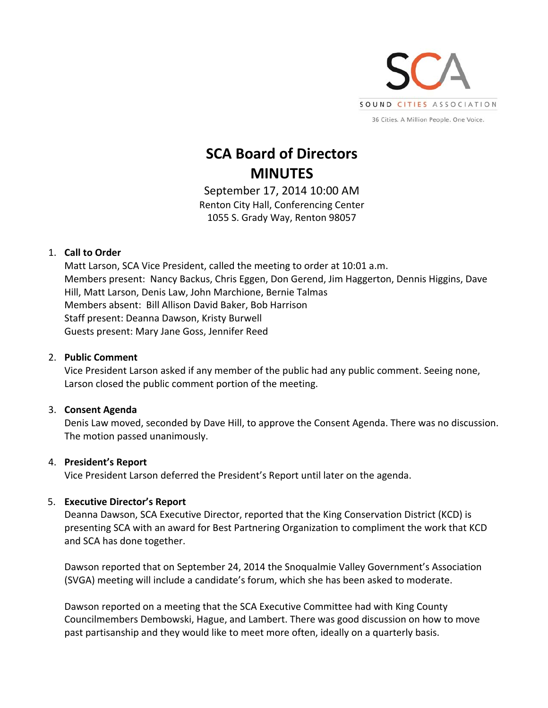

# **SCA Board of Directors MINUTES**

September 17, 2014 10:00 AM Renton City Hall, Conferencing Center 1055 S. Grady Way, Renton 98057

## 1. **Call to Order**

Matt Larson, SCA Vice President, called the meeting to order at 10:01 a.m. Members present: Nancy Backus, Chris Eggen, Don Gerend, Jim Haggerton, Dennis Higgins, Dave Hill, Matt Larson, Denis Law, John Marchione, Bernie Talmas Members absent: Bill Allison David Baker, Bob Harrison Staff present: Deanna Dawson, Kristy Burwell Guests present: Mary Jane Goss, Jennifer Reed

## 2. **Public Comment**

Vice President Larson asked if any member of the public had any public comment. Seeing none, Larson closed the public comment portion of the meeting.

# 3. **Consent Agenda**

Denis Law moved, seconded by Dave Hill, to approve the Consent Agenda. There was no discussion. The motion passed unanimously.

# 4. **President's Report**

Vice President Larson deferred the President's Report until later on the agenda.

# 5. **Executive Director's Report**

Deanna Dawson, SCA Executive Director, reported that the King Conservation District (KCD) is presenting SCA with an award for Best Partnering Organization to compliment the work that KCD and SCA has done together.

Dawson reported that on September 24, 2014 the Snoqualmie Valley Government's Association (SVGA) meeting will include a candidate's forum, which she has been asked to moderate.

Dawson reported on a meeting that the SCA Executive Committee had with King County Councilmembers Dembowski, Hague, and Lambert. There was good discussion on how to move past partisanship and they would like to meet more often, ideally on a quarterly basis.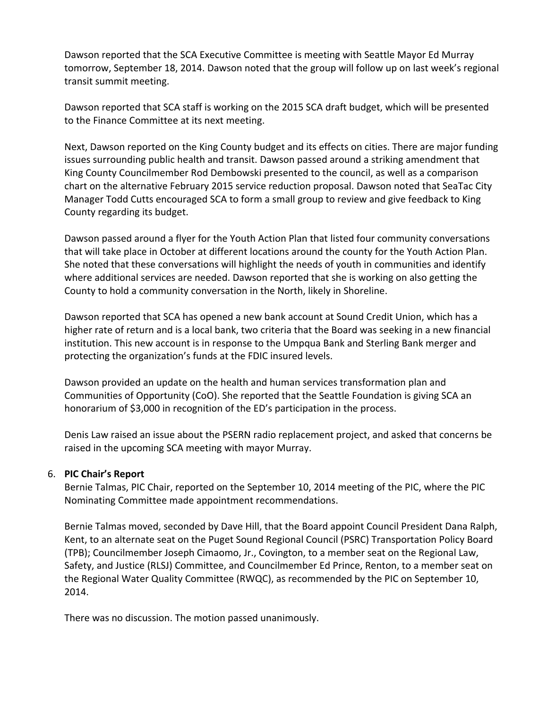Dawson reported that the SCA Executive Committee is meeting with Seattle Mayor Ed Murray tomorrow, September 18, 2014. Dawson noted that the group will follow up on last week's regional transit summit meeting.

Dawson reported that SCA staff is working on the 2015 SCA draft budget, which will be presented to the Finance Committee at its next meeting.

Next, Dawson reported on the King County budget and its effects on cities. There are major funding issues surrounding public health and transit. Dawson passed around a striking amendment that King County Councilmember Rod Dembowski presented to the council, as well as a comparison chart on the alternative February 2015 service reduction proposal. Dawson noted that SeaTac City Manager Todd Cutts encouraged SCA to form a small group to review and give feedback to King County regarding its budget.

Dawson passed around a flyer for the Youth Action Plan that listed four community conversations that will take place in October at different locations around the county for the Youth Action Plan. She noted that these conversations will highlight the needs of youth in communities and identify where additional services are needed. Dawson reported that she is working on also getting the County to hold a community conversation in the North, likely in Shoreline.

Dawson reported that SCA has opened a new bank account at Sound Credit Union, which has a higher rate of return and is a local bank, two criteria that the Board was seeking in a new financial institution. This new account is in response to the Umpqua Bank and Sterling Bank merger and protecting the organization's funds at the FDIC insured levels.

Dawson provided an update on the health and human services transformation plan and Communities of Opportunity (CoO). She reported that the Seattle Foundation is giving SCA an honorarium of \$3,000 in recognition of the ED's participation in the process.

Denis Law raised an issue about the PSERN radio replacement project, and asked that concerns be raised in the upcoming SCA meeting with mayor Murray.

#### 6. **PIC Chair's Report**

Bernie Talmas, PIC Chair, reported on the September 10, 2014 meeting of the PIC, where the PIC Nominating Committee made appointment recommendations.

Bernie Talmas moved, seconded by Dave Hill, that the Board appoint Council President Dana Ralph, Kent, to an alternate seat on the Puget Sound Regional Council (PSRC) Transportation Policy Board (TPB); Councilmember Joseph Cimaomo, Jr., Covington, to a member seat on the Regional Law, Safety, and Justice (RLSJ) Committee, and Councilmember Ed Prince, Renton, to a member seat on the Regional Water Quality Committee (RWQC), as recommended by the PIC on September 10, 2014.

There was no discussion. The motion passed unanimously.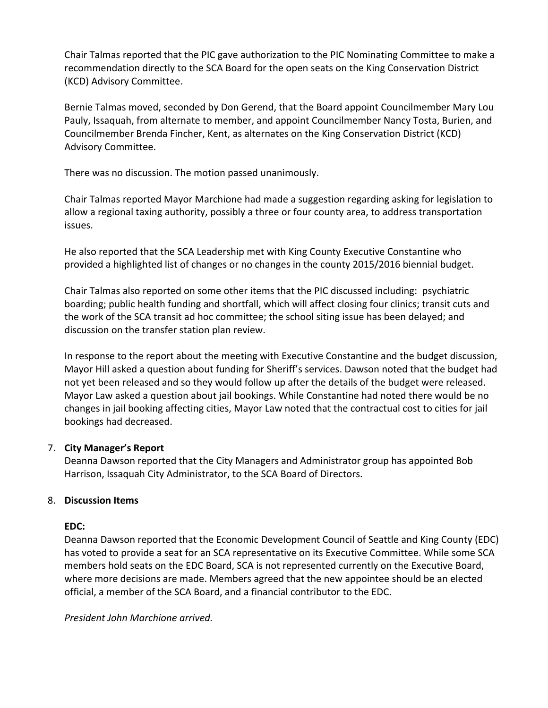Chair Talmas reported that the PIC gave authorization to the PIC Nominating Committee to make a recommendation directly to the SCA Board for the open seats on the King Conservation District (KCD) Advisory Committee.

Bernie Talmas moved, seconded by Don Gerend, that the Board appoint Councilmember Mary Lou Pauly, Issaquah, from alternate to member, and appoint Councilmember Nancy Tosta, Burien, and Councilmember Brenda Fincher, Kent, as alternates on the King Conservation District (KCD) Advisory Committee.

There was no discussion. The motion passed unanimously.

Chair Talmas reported Mayor Marchione had made a suggestion regarding asking for legislation to allow a regional taxing authority, possibly a three or four county area, to address transportation issues.

He also reported that the SCA Leadership met with King County Executive Constantine who provided a highlighted list of changes or no changes in the county 2015/2016 biennial budget.

Chair Talmas also reported on some other items that the PIC discussed including: psychiatric boarding; public health funding and shortfall, which will affect closing four clinics; transit cuts and the work of the SCA transit ad hoc committee; the school siting issue has been delayed; and discussion on the transfer station plan review.

In response to the report about the meeting with Executive Constantine and the budget discussion, Mayor Hill asked a question about funding for Sheriff's services. Dawson noted that the budget had not yet been released and so they would follow up after the details of the budget were released. Mayor Law asked a question about jail bookings. While Constantine had noted there would be no changes in jail booking affecting cities, Mayor Law noted that the contractual cost to cities for jail bookings had decreased.

# 7. **City Manager's Report**

Deanna Dawson reported that the City Managers and Administrator group has appointed Bob Harrison, Issaquah City Administrator, to the SCA Board of Directors.

#### 8. **Discussion Items**

#### **EDC:**

Deanna Dawson reported that the Economic Development Council of Seattle and King County (EDC) has voted to provide a seat for an SCA representative on its Executive Committee. While some SCA members hold seats on the EDC Board, SCA is not represented currently on the Executive Board, where more decisions are made. Members agreed that the new appointee should be an elected official, a member of the SCA Board, and a financial contributor to the EDC.

*President John Marchione arrived.*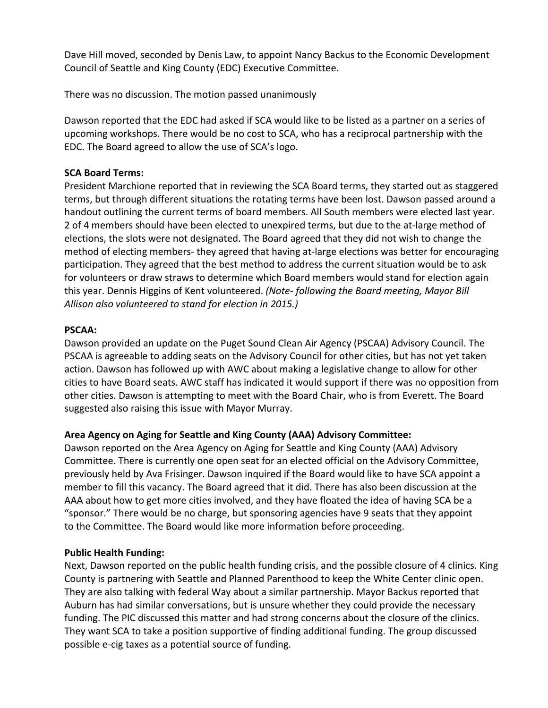Dave Hill moved, seconded by Denis Law, to appoint Nancy Backus to the Economic Development Council of Seattle and King County (EDC) Executive Committee.

There was no discussion. The motion passed unanimously

Dawson reported that the EDC had asked if SCA would like to be listed as a partner on a series of upcoming workshops. There would be no cost to SCA, who has a reciprocal partnership with the EDC. The Board agreed to allow the use of SCA's logo.

## **SCA Board Terms:**

President Marchione reported that in reviewing the SCA Board terms, they started out as staggered terms, but through different situations the rotating terms have been lost. Dawson passed around a handout outlining the current terms of board members. All South members were elected last year. 2 of 4 members should have been elected to unexpired terms, but due to the at-large method of elections, the slots were not designated. The Board agreed that they did not wish to change the method of electing members- they agreed that having at-large elections was better for encouraging participation. They agreed that the best method to address the current situation would be to ask for volunteers or draw straws to determine which Board members would stand for election again this year. Dennis Higgins of Kent volunteered. *(Note‐ following the Board meeting, Mayor Bill Allison also volunteered to stand for election in 2015.)*

## **PSCAA:**

Dawson provided an update on the Puget Sound Clean Air Agency (PSCAA) Advisory Council. The PSCAA is agreeable to adding seats on the Advisory Council for other cities, but has not yet taken action. Dawson has followed up with AWC about making a legislative change to allow for other cities to have Board seats. AWC staff has indicated it would support if there was no opposition from other cities. Dawson is attempting to meet with the Board Chair, who is from Everett. The Board suggested also raising this issue with Mayor Murray.

# **Area Agency on Aging for Seattle and King County (AAA) Advisory Committee:**

Dawson reported on the Area Agency on Aging for Seattle and King County (AAA) Advisory Committee. There is currently one open seat for an elected official on the Advisory Committee, previously held by Ava Frisinger. Dawson inquired if the Board would like to have SCA appoint a member to fill this vacancy. The Board agreed that it did. There has also been discussion at the AAA about how to get more cities involved, and they have floated the idea of having SCA be a "sponsor." There would be no charge, but sponsoring agencies have 9 seats that they appoint to the Committee. The Board would like more information before proceeding.

#### **Public Health Funding:**

Next, Dawson reported on the public health funding crisis, and the possible closure of 4 clinics. King County is partnering with Seattle and Planned Parenthood to keep the White Center clinic open. They are also talking with federal Way about a similar partnership. Mayor Backus reported that Auburn has had similar conversations, but is unsure whether they could provide the necessary funding. The PIC discussed this matter and had strong concerns about the closure of the clinics. They want SCA to take a position supportive of finding additional funding. The group discussed possible e-cig taxes as a potential source of funding.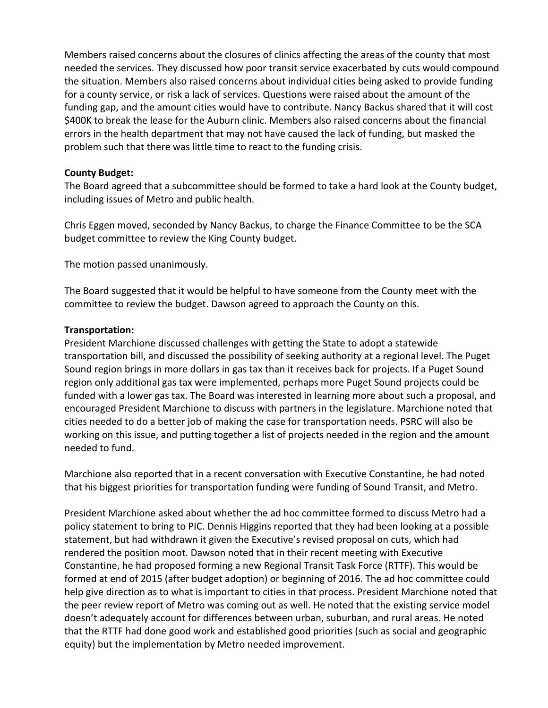Members raised concerns about the closures of clinics affecting the areas of the county that most needed the services. They discussed how poor transit service exacerbated by cuts would compound the situation. Members also raised concerns about individual cities being asked to provide funding for a county service, or risk a lack of services. Questions were raised about the amount of the funding gap, and the amount cities would have to contribute. Nancy Backus shared that it will cost \$400K to break the lease for the Auburn clinic. Members also raised concerns about the financial errors in the health department that may not have caused the lack of funding, but masked the problem such that there was little time to react to the funding crisis.

#### **County Budget:**

The Board agreed that a subcommittee should be formed to take a hard look at the County budget, including issues of Metro and public health.

Chris Eggen moved, seconded by Nancy Backus, to charge the Finance Committee to be the SCA budget committee to review the King County budget.

The motion passed unanimously.

The Board suggested that it would be helpful to have someone from the County meet with the committee to review the budget. Dawson agreed to approach the County on this.

# **Transportation:**

President Marchione discussed challenges with getting the State to adopt a statewide transportation bill, and discussed the possibility of seeking authority at a regional level. The Puget Sound region brings in more dollars in gas tax than it receives back for projects. If a Puget Sound region only additional gas tax were implemented, perhaps more Puget Sound projects could be funded with a lower gas tax. The Board was interested in learning more about such a proposal, and encouraged President Marchione to discuss with partners in the legislature. Marchione noted that cities needed to do a better job of making the case for transportation needs. PSRC will also be working on this issue, and putting together a list of projects needed in the region and the amount needed to fund.

Marchione also reported that in a recent conversation with Executive Constantine, he had noted that his biggest priorities for transportation funding were funding of Sound Transit, and Metro.

President Marchione asked about whether the ad hoc committee formed to discuss Metro had a policy statement to bring to PIC. Dennis Higgins reported that they had been looking at a possible statement, but had withdrawn it given the Executive's revised proposal on cuts, which had rendered the position moot. Dawson noted that in their recent meeting with Executive Constantine, he had proposed forming a new Regional Transit Task Force (RTTF). This would be formed at end of 2015 (after budget adoption) or beginning of 2016. The ad hoc committee could help give direction as to what is important to cities in that process. President Marchione noted that the peer review report of Metro was coming out as well. He noted that the existing service model doesn't adequately account for differences between urban, suburban, and rural areas. He noted that the RTTF had done good work and established good priorities (such as social and geographic equity) but the implementation by Metro needed improvement.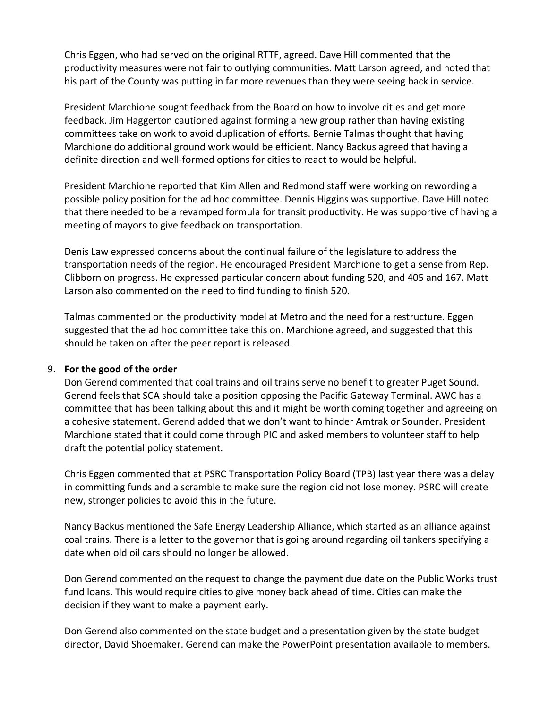Chris Eggen, who had served on the original RTTF, agreed. Dave Hill commented that the productivity measures were not fair to outlying communities. Matt Larson agreed, and noted that his part of the County was putting in far more revenues than they were seeing back in service.

President Marchione sought feedback from the Board on how to involve cities and get more feedback. Jim Haggerton cautioned against forming a new group rather than having existing committees take on work to avoid duplication of efforts. Bernie Talmas thought that having Marchione do additional ground work would be efficient. Nancy Backus agreed that having a definite direction and well‐formed options for cities to react to would be helpful.

President Marchione reported that Kim Allen and Redmond staff were working on rewording a possible policy position for the ad hoc committee. Dennis Higgins was supportive. Dave Hill noted that there needed to be a revamped formula for transit productivity. He was supportive of having a meeting of mayors to give feedback on transportation.

Denis Law expressed concerns about the continual failure of the legislature to address the transportation needs of the region. He encouraged President Marchione to get a sense from Rep. Clibborn on progress. He expressed particular concern about funding 520, and 405 and 167. Matt Larson also commented on the need to find funding to finish 520.

Talmas commented on the productivity model at Metro and the need for a restructure. Eggen suggested that the ad hoc committee take this on. Marchione agreed, and suggested that this should be taken on after the peer report is released.

#### 9. **For the good of the order**

Don Gerend commented that coal trains and oil trains serve no benefit to greater Puget Sound. Gerend feels that SCA should take a position opposing the Pacific Gateway Terminal. AWC has a committee that has been talking about this and it might be worth coming together and agreeing on a cohesive statement. Gerend added that we don't want to hinder Amtrak or Sounder. President Marchione stated that it could come through PIC and asked members to volunteer staff to help draft the potential policy statement.

Chris Eggen commented that at PSRC Transportation Policy Board (TPB) last year there was a delay in committing funds and a scramble to make sure the region did not lose money. PSRC will create new, stronger policies to avoid this in the future.

Nancy Backus mentioned the Safe Energy Leadership Alliance, which started as an alliance against coal trains. There is a letter to the governor that is going around regarding oil tankers specifying a date when old oil cars should no longer be allowed.

Don Gerend commented on the request to change the payment due date on the Public Works trust fund loans. This would require cities to give money back ahead of time. Cities can make the decision if they want to make a payment early.

Don Gerend also commented on the state budget and a presentation given by the state budget director, David Shoemaker. Gerend can make the PowerPoint presentation available to members.